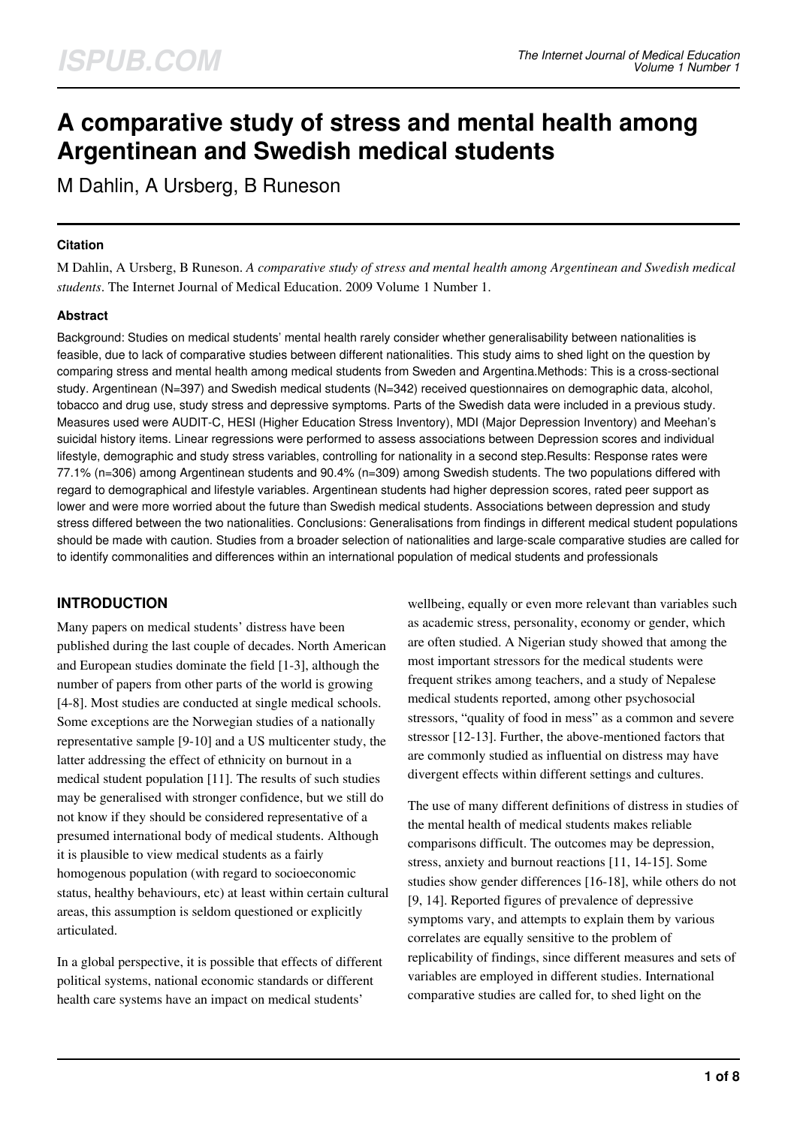# **A comparative study of stress and mental health among Argentinean and Swedish medical students**

M Dahlin, A Ursberg, B Runeson

#### **Citation**

M Dahlin, A Ursberg, B Runeson. *A comparative study of stress and mental health among Argentinean and Swedish medical students*. The Internet Journal of Medical Education. 2009 Volume 1 Number 1.

#### **Abstract**

Background: Studies on medical students' mental health rarely consider whether generalisability between nationalities is feasible, due to lack of comparative studies between different nationalities. This study aims to shed light on the question by comparing stress and mental health among medical students from Sweden and Argentina.Methods: This is a cross-sectional study. Argentinean (N=397) and Swedish medical students (N=342) received questionnaires on demographic data, alcohol, tobacco and drug use, study stress and depressive symptoms. Parts of the Swedish data were included in a previous study. Measures used were AUDIT-C, HESI (Higher Education Stress Inventory), MDI (Major Depression Inventory) and Meehan's suicidal history items. Linear regressions were performed to assess associations between Depression scores and individual lifestyle, demographic and study stress variables, controlling for nationality in a second step.Results: Response rates were 77.1% (n=306) among Argentinean students and 90.4% (n=309) among Swedish students. The two populations differed with regard to demographical and lifestyle variables. Argentinean students had higher depression scores, rated peer support as lower and were more worried about the future than Swedish medical students. Associations between depression and study stress differed between the two nationalities. Conclusions: Generalisations from findings in different medical student populations should be made with caution. Studies from a broader selection of nationalities and large-scale comparative studies are called for to identify commonalities and differences within an international population of medical students and professionals

## **INTRODUCTION**

Many papers on medical students' distress have been published during the last couple of decades. North American and European studies dominate the field [1-3], although the number of papers from other parts of the world is growing [4-8]. Most studies are conducted at single medical schools. Some exceptions are the Norwegian studies of a nationally representative sample [9-10] and a US multicenter study, the latter addressing the effect of ethnicity on burnout in a medical student population [11]. The results of such studies may be generalised with stronger confidence, but we still do not know if they should be considered representative of a presumed international body of medical students. Although it is plausible to view medical students as a fairly homogenous population (with regard to socioeconomic status, healthy behaviours, etc) at least within certain cultural areas, this assumption is seldom questioned or explicitly articulated.

In a global perspective, it is possible that effects of different political systems, national economic standards or different health care systems have an impact on medical students'

wellbeing, equally or even more relevant than variables such as academic stress, personality, economy or gender, which are often studied. A Nigerian study showed that among the most important stressors for the medical students were frequent strikes among teachers, and a study of Nepalese medical students reported, among other psychosocial stressors, "quality of food in mess" as a common and severe stressor [12-13]. Further, the above-mentioned factors that are commonly studied as influential on distress may have divergent effects within different settings and cultures.

The use of many different definitions of distress in studies of the mental health of medical students makes reliable comparisons difficult. The outcomes may be depression, stress, anxiety and burnout reactions [11, 14-15]. Some studies show gender differences [16-18], while others do not [9, 14]. Reported figures of prevalence of depressive symptoms vary, and attempts to explain them by various correlates are equally sensitive to the problem of replicability of findings, since different measures and sets of variables are employed in different studies. International comparative studies are called for, to shed light on the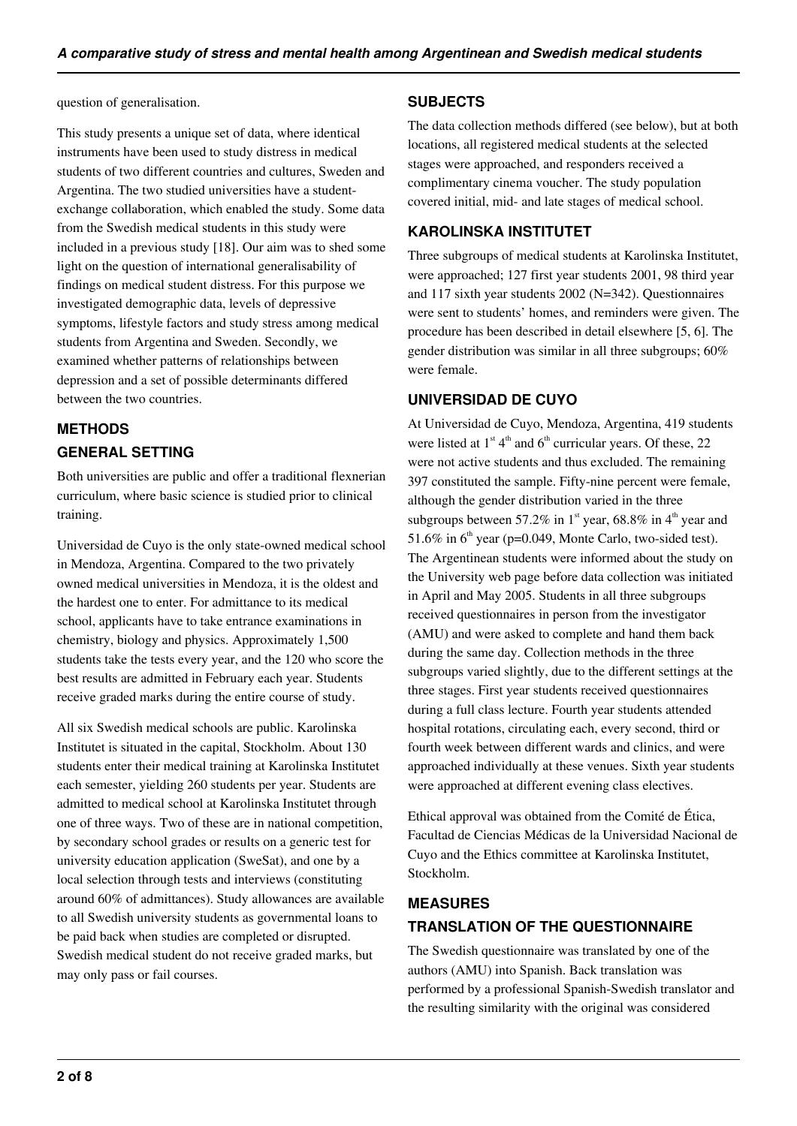#### question of generalisation.

This study presents a unique set of data, where identical instruments have been used to study distress in medical students of two different countries and cultures, Sweden and Argentina. The two studied universities have a studentexchange collaboration, which enabled the study. Some data from the Swedish medical students in this study were included in a previous study [18]. Our aim was to shed some light on the question of international generalisability of findings on medical student distress. For this purpose we investigated demographic data, levels of depressive symptoms, lifestyle factors and study stress among medical students from Argentina and Sweden. Secondly, we examined whether patterns of relationships between depression and a set of possible determinants differed between the two countries.

## **METHODS GENERAL SETTING**

Both universities are public and offer a traditional flexnerian curriculum, where basic science is studied prior to clinical training.

Universidad de Cuyo is the only state-owned medical school in Mendoza, Argentina. Compared to the two privately owned medical universities in Mendoza, it is the oldest and the hardest one to enter. For admittance to its medical school, applicants have to take entrance examinations in chemistry, biology and physics. Approximately 1,500 students take the tests every year, and the 120 who score the best results are admitted in February each year. Students receive graded marks during the entire course of study.

All six Swedish medical schools are public. Karolinska Institutet is situated in the capital, Stockholm. About 130 students enter their medical training at Karolinska Institutet each semester, yielding 260 students per year. Students are admitted to medical school at Karolinska Institutet through one of three ways. Two of these are in national competition, by secondary school grades or results on a generic test for university education application (SweSat), and one by a local selection through tests and interviews (constituting around 60% of admittances). Study allowances are available to all Swedish university students as governmental loans to be paid back when studies are completed or disrupted. Swedish medical student do not receive graded marks, but may only pass or fail courses.

#### **SUBJECTS**

The data collection methods differed (see below), but at both locations, all registered medical students at the selected stages were approached, and responders received a complimentary cinema voucher. The study population covered initial, mid- and late stages of medical school.

### **KAROLINSKA INSTITUTET**

Three subgroups of medical students at Karolinska Institutet, were approached; 127 first year students 2001, 98 third year and 117 sixth year students 2002 (N=342). Questionnaires were sent to students' homes, and reminders were given. The procedure has been described in detail elsewhere [5, 6]. The gender distribution was similar in all three subgroups; 60% were female.

#### **UNIVERSIDAD DE CUYO**

At Universidad de Cuyo, Mendoza, Argentina, 419 students were listed at  $1<sup>st</sup> 4<sup>th</sup>$  and  $6<sup>th</sup>$  curricular years. Of these, 22 were not active students and thus excluded. The remaining 397 constituted the sample. Fifty-nine percent were female, although the gender distribution varied in the three subgroups between 57.2% in 1<sup>st</sup> year, 68.8% in 4<sup>th</sup> year and 51.6% in  $6<sup>th</sup>$  year (p=0.049, Monte Carlo, two-sided test). The Argentinean students were informed about the study on the University web page before data collection was initiated in April and May 2005. Students in all three subgroups received questionnaires in person from the investigator (AMU) and were asked to complete and hand them back during the same day. Collection methods in the three subgroups varied slightly, due to the different settings at the three stages. First year students received questionnaires during a full class lecture. Fourth year students attended hospital rotations, circulating each, every second, third or fourth week between different wards and clinics, and were approached individually at these venues. Sixth year students were approached at different evening class electives.

Ethical approval was obtained from the Comité de Ética, Facultad de Ciencias Médicas de la Universidad Nacional de Cuyo and the Ethics committee at Karolinska Institutet, Stockholm.

## **MEASURES TRANSLATION OF THE QUESTIONNAIRE**

The Swedish questionnaire was translated by one of the authors (AMU) into Spanish. Back translation was performed by a professional Spanish-Swedish translator and the resulting similarity with the original was considered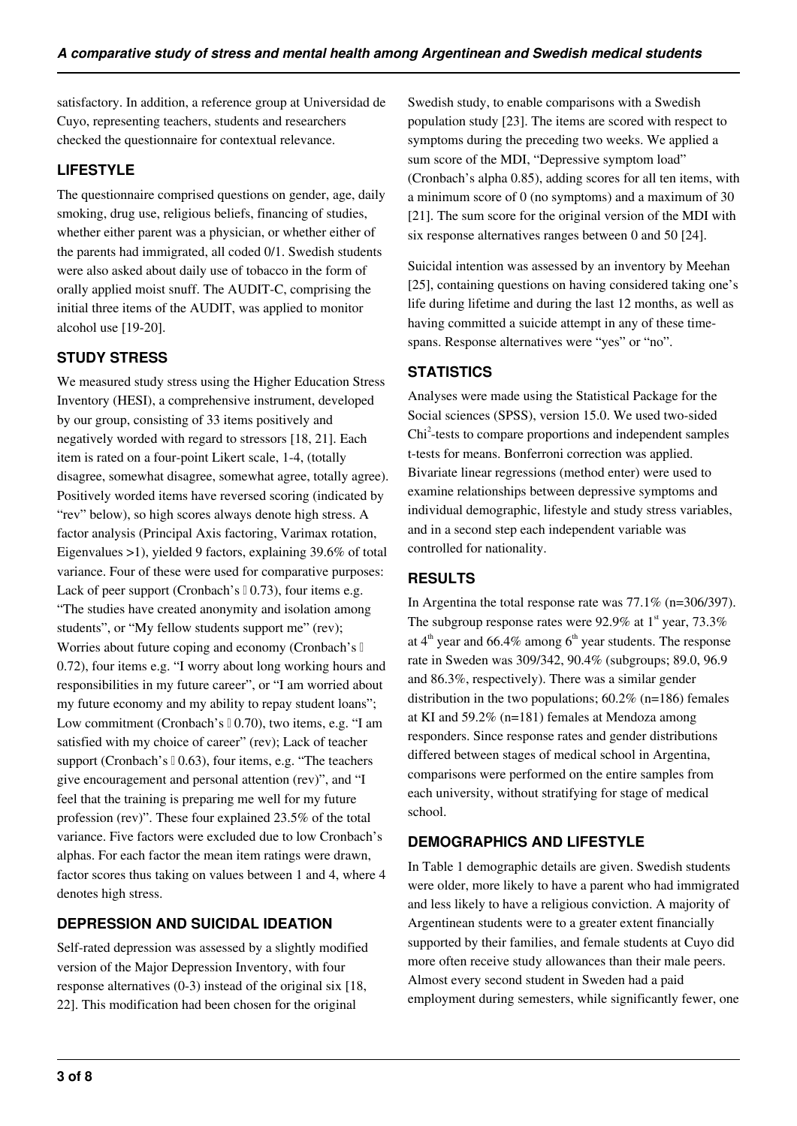satisfactory. In addition, a reference group at Universidad de Cuyo, representing teachers, students and researchers checked the questionnaire for contextual relevance.

### **LIFESTYLE**

The questionnaire comprised questions on gender, age, daily smoking, drug use, religious beliefs, financing of studies, whether either parent was a physician, or whether either of the parents had immigrated, all coded 0/1. Swedish students were also asked about daily use of tobacco in the form of orally applied moist snuff. The AUDIT-C, comprising the initial three items of the AUDIT, was applied to monitor alcohol use [19-20].

## **STUDY STRESS**

We measured study stress using the Higher Education Stress Inventory (HESI), a comprehensive instrument, developed by our group, consisting of 33 items positively and negatively worded with regard to stressors [18, 21]. Each item is rated on a four-point Likert scale, 1-4, (totally disagree, somewhat disagree, somewhat agree, totally agree). Positively worded items have reversed scoring (indicated by "rev" below), so high scores always denote high stress. A factor analysis (Principal Axis factoring, Varimax rotation, Eigenvalues >1), yielded 9 factors, explaining 39.6% of total variance. Four of these were used for comparative purposes: Lack of peer support (Cronbach's  $(0.73)$ , four items e.g. "The studies have created anonymity and isolation among students", or "My fellow students support me" (rev); Worries about future coping and economy (Cronbach's II 0.72), four items e.g. "I worry about long working hours and responsibilities in my future career", or "I am worried about my future economy and my ability to repay student loans"; Low commitment (Cronbach's □ 0.70), two items, e.g. "I am satisfied with my choice of career" (rev); Lack of teacher support (Cronbach's  $(0.63)$ , four items, e.g. "The teachers" give encouragement and personal attention (rev)", and "I feel that the training is preparing me well for my future profession (rev)". These four explained 23.5% of the total variance. Five factors were excluded due to low Cronbach's alphas. For each factor the mean item ratings were drawn, factor scores thus taking on values between 1 and 4, where 4 denotes high stress.

## **DEPRESSION AND SUICIDAL IDEATION**

Self-rated depression was assessed by a slightly modified version of the Major Depression Inventory, with four response alternatives (0-3) instead of the original six [18, 22]. This modification had been chosen for the original

Swedish study, to enable comparisons with a Swedish population study [23]. The items are scored with respect to symptoms during the preceding two weeks. We applied a sum score of the MDI, "Depressive symptom load" (Cronbach's alpha 0.85), adding scores for all ten items, with a minimum score of 0 (no symptoms) and a maximum of 30 [21]. The sum score for the original version of the MDI with six response alternatives ranges between 0 and 50 [24].

Suicidal intention was assessed by an inventory by Meehan [25], containing questions on having considered taking one's life during lifetime and during the last 12 months, as well as having committed a suicide attempt in any of these timespans. Response alternatives were "yes" or "no".

## **STATISTICS**

Analyses were made using the Statistical Package for the Social sciences (SPSS), version 15.0. We used two-sided Chi<sup>2</sup>-tests to compare proportions and independent samples t-tests for means. Bonferroni correction was applied. Bivariate linear regressions (method enter) were used to examine relationships between depressive symptoms and individual demographic, lifestyle and study stress variables, and in a second step each independent variable was controlled for nationality.

## **RESULTS**

In Argentina the total response rate was 77.1% (n=306/397). The subgroup response rates were 92.9% at  $1<sup>st</sup>$  year, 73.3% at  $4<sup>th</sup>$  year and 66.4% among  $6<sup>th</sup>$  year students. The response rate in Sweden was 309/342, 90.4% (subgroups; 89.0, 96.9 and 86.3%, respectively). There was a similar gender distribution in the two populations;  $60.2\%$  (n=186) females at KI and 59.2% (n=181) females at Mendoza among responders. Since response rates and gender distributions differed between stages of medical school in Argentina, comparisons were performed on the entire samples from each university, without stratifying for stage of medical school.

## **DEMOGRAPHICS AND LIFESTYLE**

In Table 1 demographic details are given. Swedish students were older, more likely to have a parent who had immigrated and less likely to have a religious conviction. A majority of Argentinean students were to a greater extent financially supported by their families, and female students at Cuyo did more often receive study allowances than their male peers. Almost every second student in Sweden had a paid employment during semesters, while significantly fewer, one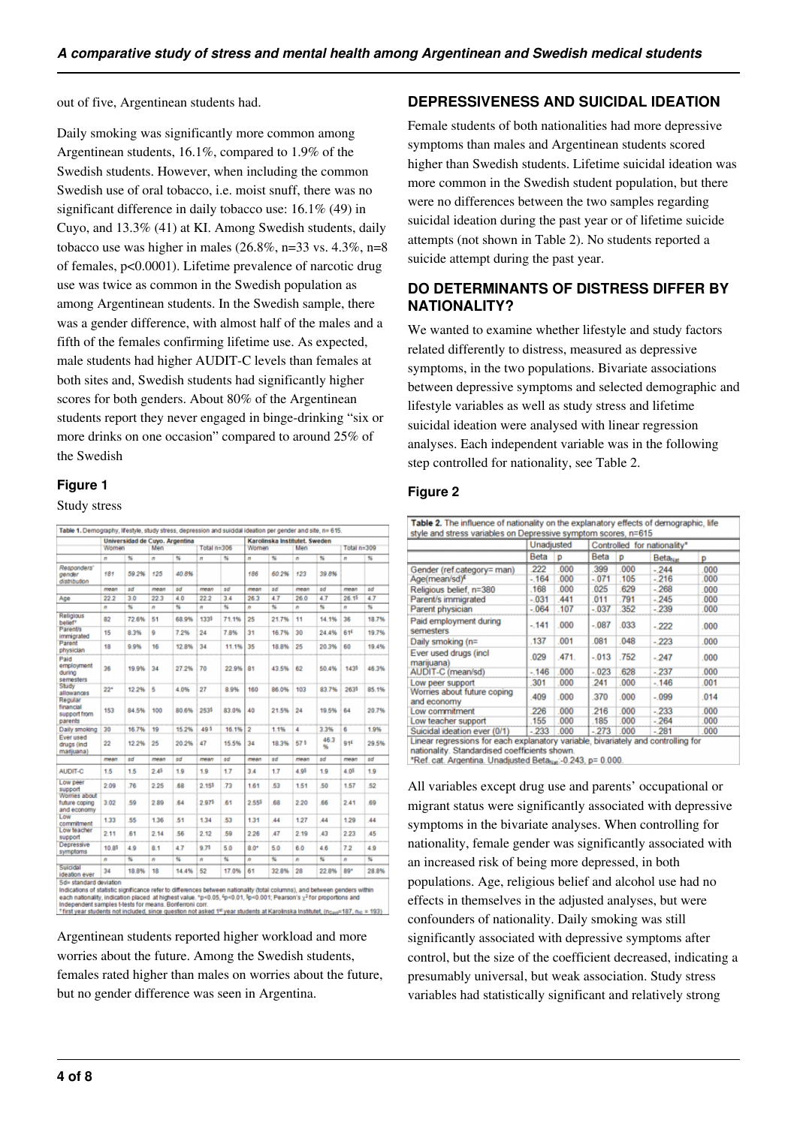out of five, Argentinean students had.

Daily smoking was significantly more common among Argentinean students, 16.1%, compared to 1.9% of the Swedish students. However, when including the common Swedish use of oral tobacco, i.e. moist snuff, there was no significant difference in daily tobacco use: 16.1% (49) in Cuyo, and 13.3% (41) at KI. Among Swedish students, daily tobacco use was higher in males  $(26.8\%, n=33 \text{ vs. } 4.3\%, n=8$ of females, p<0.0001). Lifetime prevalence of narcotic drug use was twice as common in the Swedish population as among Argentinean students. In the Swedish sample, there was a gender difference, with almost half of the males and a fifth of the females confirming lifetime use. As expected, male students had higher AUDIT-C levels than females at both sites and, Swedish students had significantly higher scores for both genders. About 80% of the Argentinean students report they never engaged in binge-drinking "six or more drinks on one occasion" compared to around 25% of the Swedish

#### **Figure 1**

Study stress

|                                                 |          | Universidad de Cuyo. Argentina |                |       |                 |       |                | Karolinska Institutet. Sweden |      |            |                   |       |
|-------------------------------------------------|----------|--------------------------------|----------------|-------|-----------------|-------|----------------|-------------------------------|------|------------|-------------------|-------|
|                                                 | Women    |                                | Men            |       | Total $n = 306$ |       | Women          |                               | Men  |            | Total n=309       |       |
|                                                 | $\sigma$ | $\frac{4}{5}$                  | $\overline{a}$ | 56    | $\blacksquare$  | %     | n              | %                             | n    | 56         | $\mathbf{r}$      | 56    |
| Responders'<br>gender<br>distribution           | 181      | 59.2%                          | 125            | 40.8% |                 |       | 186            | 60.2%                         | 123  | 39.8%      |                   |       |
|                                                 | mean     | sď                             | mean           | sd    | mean            | sď    | mean           | sď                            | mean | sd         | mean              | sď    |
| Age                                             | 22.2     | 3.0                            | 223            | 4.0   | 22.2            | 3.4   | 26.3           | 47                            | 26.0 | 47         | 26.1 <sup>5</sup> | 47    |
|                                                 | n        | $\frac{1}{26}$                 | n              | s     | n               | s     | n              | $\frac{1}{26}$                | n    | 桜          | n                 | s     |
| Religious<br>belief*                            | 82       | 72.6%                          | 51             | 68.9% | 1334            | 71.1% | 25             | 21.7%                         | 11   | 14.1%      | 36                | 18.7% |
| <b>Parent/s</b><br>immigrated                   | 15       | 8.3%                           | 9              | 7.2%  | 24              | 7.8%  | 31             | 16.7%                         | 30   | 24.4%      | 616               | 19.7% |
| Parent<br>physician                             | 18       | 9.9%                           | 16             | 12.8% | 34              | 11.1% | 35             | 18.8%                         | 25   | 20.3%      | 60                | 19.4% |
| Paid<br>employment<br>during<br>semesters       | 36       | 19.9%                          | 34             | 27.2% | 70              | 22.9% | 81             | 43.5%                         | 62   | 50.4%      | 1439              | 46.3% |
| Study<br>allowances                             | 22"      | 12.2%                          | 6              | 4.0%  | 27              | 8.9%  | 160            | 86.0%                         | 103  | 83.7%      | 2635              | 85.1% |
| Regular<br>financial<br>support from<br>parents | 153      | 84.5%                          | 100            | 80.6% | 2535            | 83.0% | 40             | 21.5%                         | 24   | 19.5%      | 64                | 20.7% |
| Daily smoking                                   | 30       | 16.7%                          | 19             | 15.2% | 495             | 16.1% | $\overline{2}$ | 1.1%                          | 4    | 3.3%       | 6                 | 1.9%  |
| Ever used<br>drugs (ind<br>maniuana)            | $^{22}$  | 12.2%                          | 26             | 20.2% | 47              | 15.5% | 34             | 18.3%                         | 575  | 46.3<br>96 | 916               | 29.5% |
|                                                 | mean     | 8ď                             | mean           | вđ    | mean            | sd    | mean           | sď                            | mean | вd         | mean              | sď    |
| AUDIT-C                                         | 1.5      | 1.5                            | 2.45           | 1.9   | 1.9             | 1.7   | 3.4            | 17                            | 4.95 | 1.9        | 4.0 <sup>5</sup>  | 1.9   |
| Low peer<br>support                             | 2.09     | .76                            | 2.25           | .68   | 2.153           | .73   | 1.61           | 53                            | 1.51 | .50        | 1.57              | 52    |
| Womes about<br>future coping<br>and economy     | 3.02     | 59                             | 2.89           | 64    | 2.975           | 61    | 2.555          | 68                            | 2.20 | 66         | 2.41              | 69    |
| Low<br>commitment                               | 1.33     | 55                             | 1.36           | .51   | 1.34            | 53    | 1.31           | 44                            | 1.27 | 44         | 1.29              | 44    |
| Low teacher<br>support                          | 2.11     | 61                             | 2.14           | .56   | 2.12            | 59    | 2.26           | 47                            | 2.19 | ,43        | 2.23              | 45    |
| Depressive<br>symptoms                          | 10.85    | 4.9                            | 8.1            | 4.7   | 9.75            | 5.0   | $8.0*$         | 5.0                           | 6.0  | 4.6        | 7.2               | 4.9   |
|                                                 | n        | 96                             | n              | 96    | n               | %     | n              | 96                            | n    | 56         | n                 | 56    |
| Suicidal<br>ideation ever                       | 34       | 18.8%                          | 18             | 14.4% | 52              | 17.0% | 61             | 32.8%                         | 28   | 22.8%      | 89"               | 28.8% |

incizations of statestic significance relef to onterences oetween nationality (total columns), and between genoes within<br>a each nationality, indication placed at highest value. "p<0.05, <sup>6</sup>p<0.01, <sup>6</sup>p<0.001; Pearson's  $\$ 

Argentinean students reported higher workload and more worries about the future. Among the Swedish students, females rated higher than males on worries about the future, but no gender difference was seen in Argentina.

#### **DEPRESSIVENESS AND SUICIDAL IDEATION**

Female students of both nationalities had more depressive symptoms than males and Argentinean students scored higher than Swedish students. Lifetime suicidal ideation was more common in the Swedish student population, but there were no differences between the two samples regarding suicidal ideation during the past year or of lifetime suicide attempts (not shown in Table 2). No students reported a suicide attempt during the past year.

#### **DO DETERMINANTS OF DISTRESS DIFFER BY NATIONALITY?**

We wanted to examine whether lifestyle and study factors related differently to distress, measured as depressive symptoms, in the two populations. Bivariate associations between depressive symptoms and selected demographic and lifestyle variables as well as study stress and lifetime suicidal ideation were analysed with linear regression analyses. Each independent variable was in the following step controlled for nationality, see Table 2.

#### **Figure 2**

|                                            | Unadjusted |       | Controlled for nationality* |      |                     |      |
|--------------------------------------------|------------|-------|-----------------------------|------|---------------------|------|
|                                            | Beta       | p     | Beta                        | p    | Beta <sub>Nat</sub> | D    |
| Gender (ref.category= man)                 | 222        | .000  | 399                         | .000 | $-244$              | .000 |
| Age(mean/sd) <sup>e</sup>                  | $-164$     | .000  | $-071$                      | .105 | $-216$              | .000 |
| Religious belief, n=380                    | .168       | .000  | 025                         | .629 | $-268$              | .000 |
| Parent/s immigrated                        | $-031$     | 441   | .011                        | .791 | $-245$              | .000 |
| Parent physician                           | $-064$     | .107  | $-0.37$                     | .352 | $-239$              | .000 |
| Paid employment during<br>semesters        | $-141$     | .000  | $-.087$                     | .033 | $-222$              | .000 |
| Daily smoking (n=                          | .137       | .001  | .081                        | 048  | $-223$              | .000 |
| Ever used drugs (incl.<br>marijuana)       | .029       | .471. | $-.013$                     | .752 | $-247$              | .000 |
| AUDIT-C (mean/sd)                          | $-146$     | .000  | $-023$                      | 628  | $-237$              | .000 |
| Low peer support                           | 301        | .000  | .241                        | .000 | $-146$              | .001 |
| Worries about future coping<br>and economy | .409       | .000  | .370                        | .000 | $-0.99$             | .014 |
| Low commitment                             | 226        | 000   | 216                         | 000  | $-233$              | 000  |
| Low teacher support                        | .155       | .000  | .185                        | 000  | $-264$              | 000  |
| Suicidal ideation ever (0/1)               | $-233$     | 000   | $-273$                      | 000  | $-281$              | .000 |

\*Ref. cat. Argentina. Unadjusted Beta<sub>Nat</sub>:-0.243, p= 0.000

All variables except drug use and parents' occupational or migrant status were significantly associated with depressive symptoms in the bivariate analyses. When controlling for nationality, female gender was significantly associated with an increased risk of being more depressed, in both populations. Age, religious belief and alcohol use had no effects in themselves in the adjusted analyses, but were confounders of nationality. Daily smoking was still significantly associated with depressive symptoms after control, but the size of the coefficient decreased, indicating a presumably universal, but weak association. Study stress variables had statistically significant and relatively strong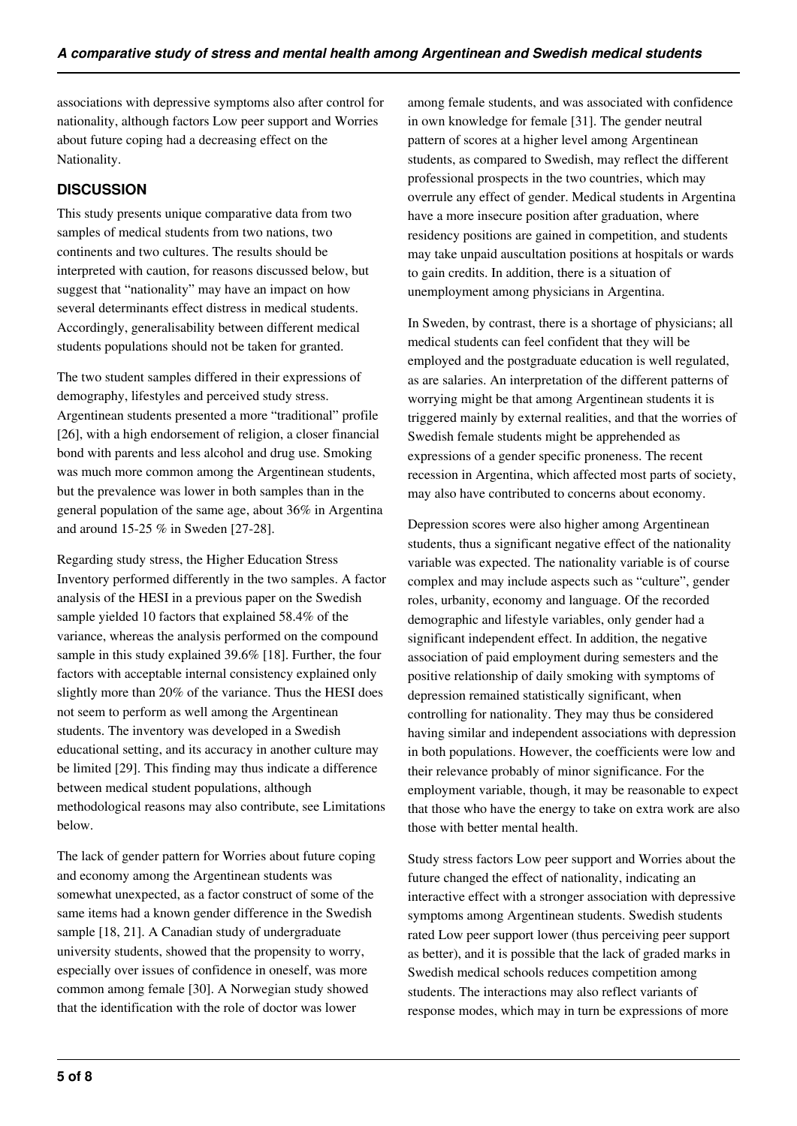associations with depressive symptoms also after control for nationality, although factors Low peer support and Worries about future coping had a decreasing effect on the Nationality.

## **DISCUSSION**

This study presents unique comparative data from two samples of medical students from two nations, two continents and two cultures. The results should be interpreted with caution, for reasons discussed below, but suggest that "nationality" may have an impact on how several determinants effect distress in medical students. Accordingly, generalisability between different medical students populations should not be taken for granted.

The two student samples differed in their expressions of demography, lifestyles and perceived study stress. Argentinean students presented a more "traditional" profile [26], with a high endorsement of religion, a closer financial bond with parents and less alcohol and drug use. Smoking was much more common among the Argentinean students, but the prevalence was lower in both samples than in the general population of the same age, about 36% in Argentina and around 15-25 % in Sweden [27-28].

Regarding study stress, the Higher Education Stress Inventory performed differently in the two samples. A factor analysis of the HESI in a previous paper on the Swedish sample yielded 10 factors that explained 58.4% of the variance, whereas the analysis performed on the compound sample in this study explained 39.6% [18]. Further, the four factors with acceptable internal consistency explained only slightly more than 20% of the variance. Thus the HESI does not seem to perform as well among the Argentinean students. The inventory was developed in a Swedish educational setting, and its accuracy in another culture may be limited [29]. This finding may thus indicate a difference between medical student populations, although methodological reasons may also contribute, see Limitations below.

The lack of gender pattern for Worries about future coping and economy among the Argentinean students was somewhat unexpected, as a factor construct of some of the same items had a known gender difference in the Swedish sample [18, 21]. A Canadian study of undergraduate university students, showed that the propensity to worry, especially over issues of confidence in oneself, was more common among female [30]. A Norwegian study showed that the identification with the role of doctor was lower

among female students, and was associated with confidence in own knowledge for female [31]. The gender neutral pattern of scores at a higher level among Argentinean students, as compared to Swedish, may reflect the different professional prospects in the two countries, which may overrule any effect of gender. Medical students in Argentina have a more insecure position after graduation, where residency positions are gained in competition, and students may take unpaid auscultation positions at hospitals or wards to gain credits. In addition, there is a situation of unemployment among physicians in Argentina.

In Sweden, by contrast, there is a shortage of physicians; all medical students can feel confident that they will be employed and the postgraduate education is well regulated, as are salaries. An interpretation of the different patterns of worrying might be that among Argentinean students it is triggered mainly by external realities, and that the worries of Swedish female students might be apprehended as expressions of a gender specific proneness. The recent recession in Argentina, which affected most parts of society, may also have contributed to concerns about economy.

Depression scores were also higher among Argentinean students, thus a significant negative effect of the nationality variable was expected. The nationality variable is of course complex and may include aspects such as "culture", gender roles, urbanity, economy and language. Of the recorded demographic and lifestyle variables, only gender had a significant independent effect. In addition, the negative association of paid employment during semesters and the positive relationship of daily smoking with symptoms of depression remained statistically significant, when controlling for nationality. They may thus be considered having similar and independent associations with depression in both populations. However, the coefficients were low and their relevance probably of minor significance. For the employment variable, though, it may be reasonable to expect that those who have the energy to take on extra work are also those with better mental health.

Study stress factors Low peer support and Worries about the future changed the effect of nationality, indicating an interactive effect with a stronger association with depressive symptoms among Argentinean students. Swedish students rated Low peer support lower (thus perceiving peer support as better), and it is possible that the lack of graded marks in Swedish medical schools reduces competition among students. The interactions may also reflect variants of response modes, which may in turn be expressions of more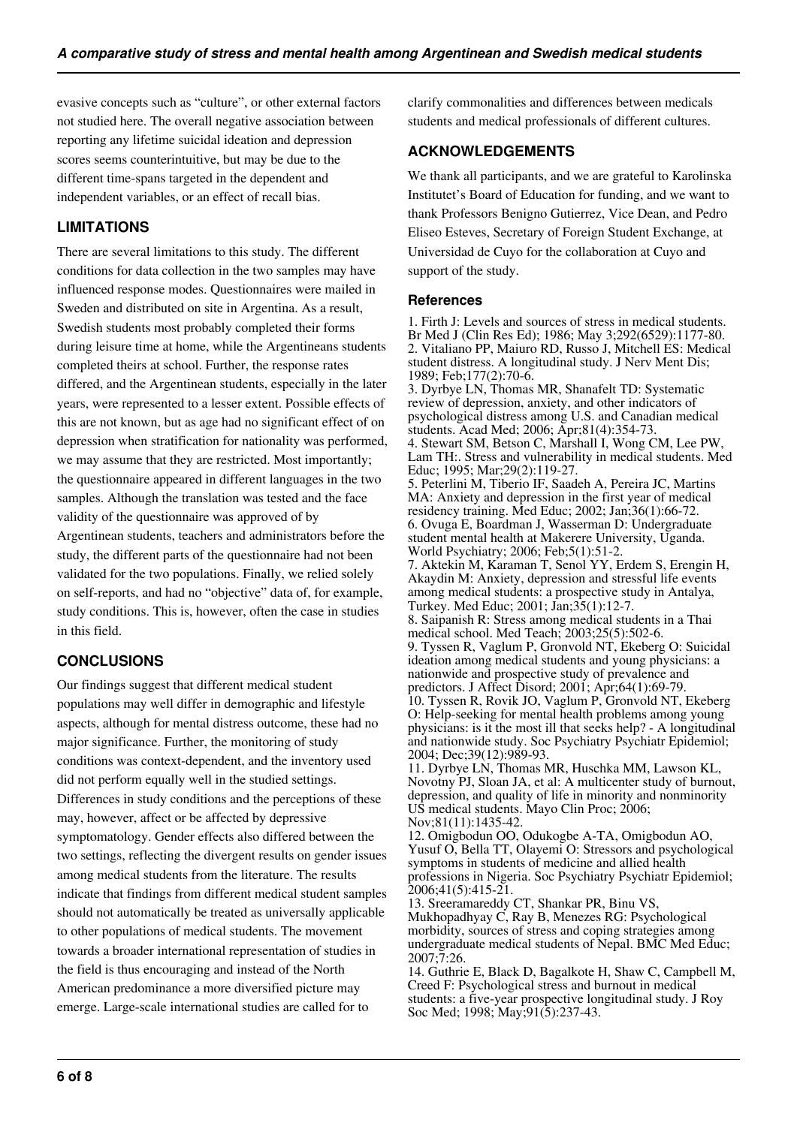evasive concepts such as "culture", or other external factors not studied here. The overall negative association between reporting any lifetime suicidal ideation and depression scores seems counterintuitive, but may be due to the different time-spans targeted in the dependent and independent variables, or an effect of recall bias.

## **LIMITATIONS**

There are several limitations to this study. The different conditions for data collection in the two samples may have influenced response modes. Questionnaires were mailed in Sweden and distributed on site in Argentina. As a result, Swedish students most probably completed their forms during leisure time at home, while the Argentineans students completed theirs at school. Further, the response rates differed, and the Argentinean students, especially in the later years, were represented to a lesser extent. Possible effects of this are not known, but as age had no significant effect of on depression when stratification for nationality was performed, we may assume that they are restricted. Most importantly; the questionnaire appeared in different languages in the two samples. Although the translation was tested and the face validity of the questionnaire was approved of by Argentinean students, teachers and administrators before the study, the different parts of the questionnaire had not been validated for the two populations. Finally, we relied solely on self-reports, and had no "objective" data of, for example, study conditions. This is, however, often the case in studies in this field.

#### **CONCLUSIONS**

Our findings suggest that different medical student populations may well differ in demographic and lifestyle aspects, although for mental distress outcome, these had no major significance. Further, the monitoring of study conditions was context-dependent, and the inventory used did not perform equally well in the studied settings. Differences in study conditions and the perceptions of these may, however, affect or be affected by depressive symptomatology. Gender effects also differed between the two settings, reflecting the divergent results on gender issues among medical students from the literature. The results indicate that findings from different medical student samples should not automatically be treated as universally applicable to other populations of medical students. The movement towards a broader international representation of studies in the field is thus encouraging and instead of the North American predominance a more diversified picture may emerge. Large-scale international studies are called for to

clarify commonalities and differences between medicals students and medical professionals of different cultures.

### **ACKNOWLEDGEMENTS**

We thank all participants, and we are grateful to Karolinska Institutet's Board of Education for funding, and we want to thank Professors Benigno Gutierrez, Vice Dean, and Pedro Eliseo Esteves, Secretary of Foreign Student Exchange, at Universidad de Cuyo for the collaboration at Cuyo and support of the study.

#### **References**

1. Firth J: Levels and sources of stress in medical students. Br Med J (Clin Res Ed); 1986; May 3;292(6529):1177-80. 2. Vitaliano PP, Maiuro RD, Russo J, Mitchell ES: Medical student distress. A longitudinal study. J Nerv Ment Dis; 1989; Feb;177(2):70-6.

3. Dyrbye LN, Thomas MR, Shanafelt TD: Systematic review of depression, anxiety, and other indicators of psychological distress among U.S. and Canadian medical students. Acad Med; 2006; Apr;81(4):354-73.

4. Stewart SM, Betson C, Marshall I, Wong CM, Lee PW, Lam TH:. Stress and vulnerability in medical students. Med Educ; 1995; Mar;29(2):119-27.

5. Peterlini M, Tiberio IF, Saadeh A, Pereira JC, Martins MA: Anxiety and depression in the first year of medical residency training. Med Educ; 2002; Jan;36(1):66-72. 6. Ovuga E, Boardman J, Wasserman D: Undergraduate student mental health at Makerere University, Uganda. World Psychiatry; 2006; Feb;5(1):51-2.

7. Aktekin M, Karaman T, Senol YY, Erdem S, Erengin H, Akaydin M: Anxiety, depression and stressful life events among medical students: a prospective study in Antalya, Turkey. Med Educ; 2001; Jan;35(1):12-7. 8. Saipanish R: Stress among medical students in a Thai medical school. Med Teach; 2003;25(5):502-6. 9. Tyssen R, Vaglum P, Gronvold NT, Ekeberg O: Suicidal ideation among medical students and young physicians: a nationwide and prospective study of prevalence and predictors. J Affect Disord; 2001; Apr;64(1):69-79. 10. Tyssen R, Rovik JO, Vaglum P, Gronvold NT, Ekeberg O: Help-seeking for mental health problems among young physicians: is it the most ill that seeks help? - A longitudinal and nationwide study. Soc Psychiatry Psychiatr Epidemiol; 2004; Dec;39(12):989-93.

11. Dyrbye LN, Thomas MR, Huschka MM, Lawson KL, Novotny PJ, Sloan JA, et al: A multicenter study of burnout, depression, and quality of life in minority and nonminority US medical students. Mayo Clin Proc; 2006; Nov;81(11):1435-42.

12. Omigbodun OO, Odukogbe A-TA, Omigbodun AO, Yusuf O, Bella TT, Olayemi O: Stressors and psychological symptoms in students of medicine and allied health professions in Nigeria. Soc Psychiatry Psychiatr Epidemiol;  $2006:41(5):415-21.$ 

13. Sreeramareddy CT, Shankar PR, Binu VS, Mukhopadhyay C, Ray B, Menezes RG: Psychological morbidity, sources of stress and coping strategies among undergraduate medical students of Nepal. BMC Med Educ; 2007;7:26.

14. Guthrie E, Black D, Bagalkote H, Shaw C, Campbell M, Creed F: Psychological stress and burnout in medical students: a five-year prospective longitudinal study. J Roy Soc Med; 1998; May;91(5):237-43.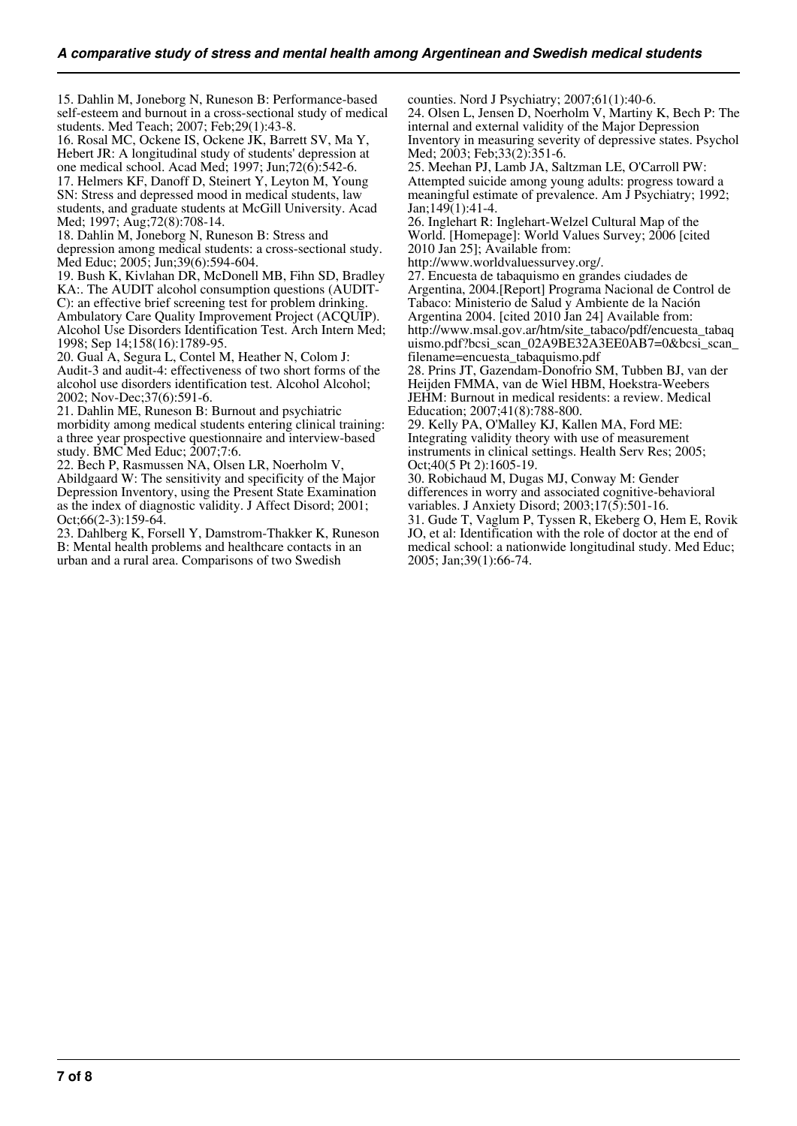15. Dahlin M, Joneborg N, Runeson B: Performance-based self-esteem and burnout in a cross-sectional study of medical students. Med Teach; 2007; Feb;29(1):43-8.

16. Rosal MC, Ockene IS, Ockene JK, Barrett SV, Ma Y, Hebert JR: A longitudinal study of students' depression at one medical school. Acad Med; 1997; Jun;72(6):542-6. 17. Helmers KF, Danoff D, Steinert Y, Leyton M, Young SN: Stress and depressed mood in medical students, law students, and graduate students at McGill University. Acad Med; 1997; Aug;72(8):708-14.

18. Dahlin M, Joneborg N, Runeson B: Stress and depression among medical students: a cross-sectional study. Med Educ; 2005; Jun;39(6):594-604.

19. Bush K, Kivlahan DR, McDonell MB, Fihn SD, Bradley KA:. The AUDIT alcohol consumption questions (AUDIT-C): an effective brief screening test for problem drinking. Ambulatory Care Quality Improvement Project (ACQUIP). Alcohol Use Disorders Identification Test. Arch Intern Med; 1998; Sep 14;158(16):1789-95.

20. Gual A, Segura L, Contel M, Heather N, Colom J: Audit-3 and audit-4: effectiveness of two short forms of the alcohol use disorders identification test. Alcohol Alcohol; 2002; Nov-Dec;37(6):591-6.

21. Dahlin ME, Runeson B: Burnout and psychiatric morbidity among medical students entering clinical training: a three year prospective questionnaire and interview-based study. BMC Med Educ; 2007;7:6.

22. Bech P, Rasmussen NA, Olsen LR, Noerholm V, Abildgaard W: The sensitivity and specificity of the Major Depression Inventory, using the Present State Examination as the index of diagnostic validity. J Affect Disord; 2001; Oct;66(2-3):159-64.

23. Dahlberg K, Forsell Y, Damstrom-Thakker K, Runeson B: Mental health problems and healthcare contacts in an urban and a rural area. Comparisons of two Swedish

counties. Nord J Psychiatry; 2007;61(1):40-6.

24. Olsen L, Jensen D, Noerholm V, Martiny K, Bech P: The internal and external validity of the Major Depression Inventory in measuring severity of depressive states. Psychol Med; 2003; Feb;33(2):351-6.

25. Meehan PJ, Lamb JA, Saltzman LE, O'Carroll PW: Attempted suicide among young adults: progress toward a meaningful estimate of prevalence. Am J Psychiatry; 1992; Jan;149(1):41-4.

26. Inglehart R: Inglehart-Welzel Cultural Map of the World. [Homepage]: World Values Survey; 2006 [cited 2010 Jan 25]; Available from:

http://www.worldvaluessurvey.org/.

27. Encuesta de tabaquismo en grandes ciudades de Argentina, 2004.[Report] Programa Nacional de Control de Tabaco: Ministerio de Salud y Ambiente de la Nación Argentina 2004. [cited 2010 Jan 24] Available from: http://www.msal.gov.ar/htm/site\_tabaco/pdf/encuesta\_tabaq uismo.pdf?bcsi\_scan\_02A9BE32A3EE0AB7=0&bcsi\_scan\_ filename=encuesta\_tabaquismo.pdf

28. Prins JT, Gazendam-Donofrio SM, Tubben BJ, van der Heijden FMMA, van de Wiel HBM, Hoekstra-Weebers JEHM: Burnout in medical residents: a review. Medical Education; 2007;41(8):788-800.

29. Kelly PA, O'Malley KJ, Kallen MA, Ford ME: Integrating validity theory with use of measurement instruments in clinical settings. Health Serv Res; 2005; Oct;40(5 Pt 2):1605-19.

30. Robichaud M, Dugas MJ, Conway M: Gender differences in worry and associated cognitive-behavioral variables. J Anxiety Disord; 2003;17(5):501-16.

31. Gude T, Vaglum P, Tyssen R, Ekeberg O, Hem E, Rovik JO, et al: Identification with the role of doctor at the end of medical school: a nationwide longitudinal study. Med Educ; 2005; Jan;39(1):66-74.